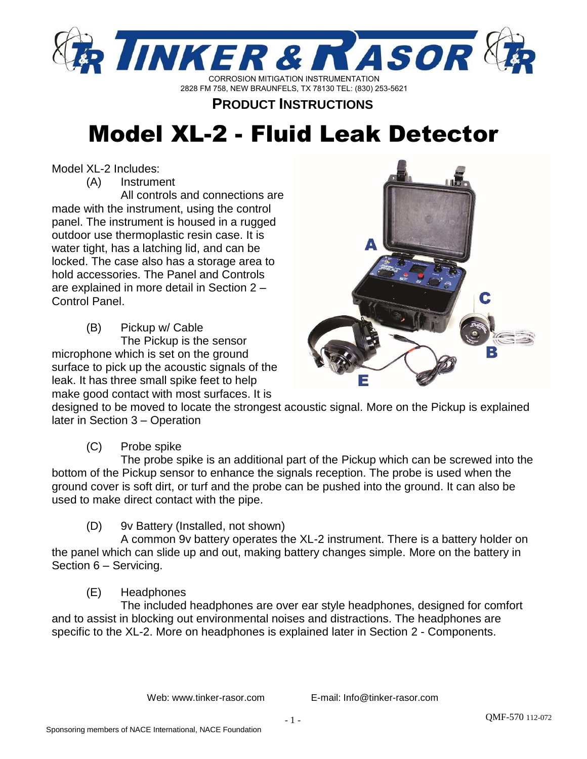

# **PRODUCT INSTRUCTIONS**

# Model XL-2 - Fluid Leak Detector

Model XL-2 Includes:

(A) Instrument

All controls and connections are made with the instrument, using the control panel. The instrument is housed in a rugged outdoor use thermoplastic resin case. It is water tight, has a latching lid, and can be locked. The case also has a storage area to hold accessories. The Panel and Controls are explained in more detail in Section 2 – Control Panel.

(B) Pickup w/ Cable The Pickup is the sensor microphone which is set on the ground surface to pick up the acoustic signals of the leak. It has three small spike feet to help make good contact with most surfaces. It is



designed to be moved to locate the strongest acoustic signal. More on the Pickup is explained later in Section 3 – Operation

(C) Probe spike

The probe spike is an additional part of the Pickup which can be screwed into the bottom of the Pickup sensor to enhance the signals reception. The probe is used when the ground cover is soft dirt, or turf and the probe can be pushed into the ground. It can also be used to make direct contact with the pipe.

(D) 9v Battery (Installed, not shown)

A common 9v battery operates the XL-2 instrument. There is a battery holder on the panel which can slide up and out, making battery changes simple. More on the battery in Section 6 – Servicing.

# (E) Headphones

The included headphones are over ear style headphones, designed for comfort and to assist in blocking out environmental noises and distractions. The headphones are specific to the XL-2. More on headphones is explained later in Section 2 - Components.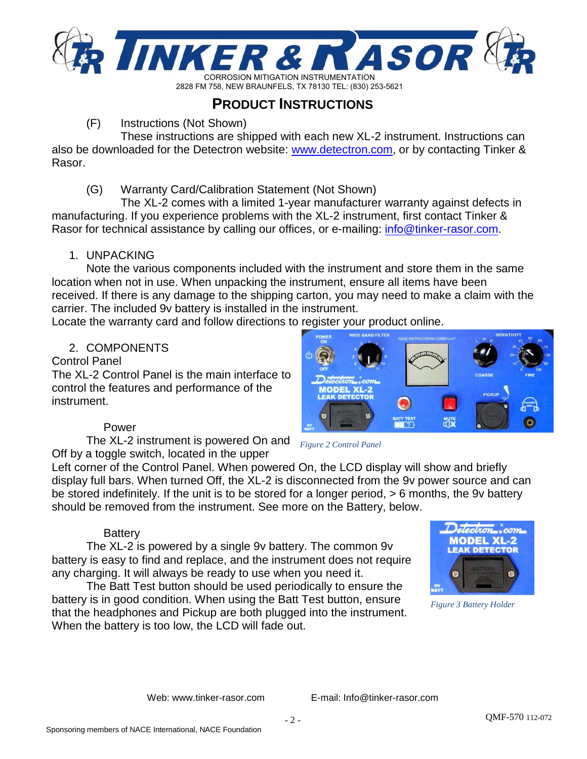

# **PRODUCT INSTRUCTIONS**

#### (F) Instructions (Not Shown)

These instructions are shipped with each new XL-2 instrument. Instructions can also be downloaded for the Detectron website: [www.detectron.com,](http://www.detectron.com/) or by contacting Tinker & Rasor.

#### (G) Warranty Card/Calibration Statement (Not Shown)

The XL-2 comes with a limited 1-year manufacturer warranty against defects in manufacturing. If you experience problems with the XL-2 instrument, first contact Tinker & Rasor for technical assistance by calling our offices, or e-mailing: info[@tinker-rasor.com.](mailto:Support@tinker-rasor.com)

#### 1. UNPACKING

Note the various components included with the instrument and store them in the same location when not in use. When unpacking the instrument, ensure all items have been received. If there is any damage to the shipping carton, you may need to make a claim with the carrier. The included 9v battery is installed in the instrument.

Locate the warranty card and follow directions to register your product online.

#### 2. COMPONENTS

#### Control Panel

The XL-2 Control Panel is the main interface to control the features and performance of the instrument.

## Power

The XL-2 instrument is powered On and Off by a toggle switch, located in the upper

Left corner of the Control Panel. When powered On, the LCD display will show and briefly display full bars. When turned Off, the XL-2 is disconnected from the 9v power source and can be stored indefinitely. If the unit is to be stored for a longer period, > 6 months, the 9v battery should be removed from the instrument. See more on the Battery, below.

*Figure 2 Control Panel*

#### **Battery**

The XL-2 is powered by a single 9v battery. The common 9v battery is easy to find and replace, and the instrument does not require any charging. It will always be ready to use when you need it.

The Batt Test button should be used periodically to ensure the battery is in good condition. When using the Batt Test button, ensure that the headphones and Pickup are both plugged into the instrument. When the battery is too low, the LCD will fade out.



*Figure 3 Battery Holder*

Web: www.tinker-rasor.com E-mail: Info@tinker-rasor.com

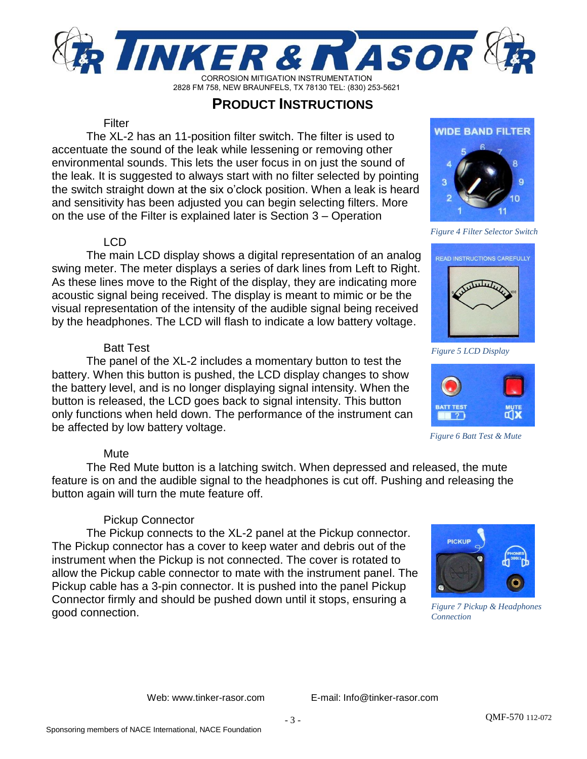

# **PRODUCT INSTRUCTIONS**

#### **Filter**

The XL-2 has an 11-position filter switch. The filter is used to accentuate the sound of the leak while lessening or removing other environmental sounds. This lets the user focus in on just the sound of the leak. It is suggested to always start with no filter selected by pointing the switch straight down at the six o'clock position. When a leak is heard and sensitivity has been adjusted you can begin selecting filters. More on the use of the Filter is explained later is Section 3 – Operation

#### LCD

The main LCD display shows a digital representation of an analog swing meter. The meter displays a series of dark lines from Left to Right. As these lines move to the Right of the display, they are indicating more acoustic signal being received. The display is meant to mimic or be the visual representation of the intensity of the audible signal being received by the headphones. The LCD will flash to indicate a low battery voltage.

#### Batt Test

The panel of the XL-2 includes a momentary button to test the battery. When this button is pushed, the LCD display changes to show the battery level, and is no longer displaying signal intensity. When the button is released, the LCD goes back to signal intensity. This button only functions when held down. The performance of the instrument can be affected by low battery voltage.

## **Mute**

The Red Mute button is a latching switch. When depressed and released, the mute feature is on and the audible signal to the headphones is cut off. Pushing and releasing the button again will turn the mute feature off.

## Pickup Connector

The Pickup connects to the XL-2 panel at the Pickup connector. The Pickup connector has a cover to keep water and debris out of the instrument when the Pickup is not connected. The cover is rotated to allow the Pickup cable connector to mate with the instrument panel. The Pickup cable has a 3-pin connector. It is pushed into the panel Pickup Connector firmly and should be pushed down until it stops, ensuring a good connection.



*Figure 7 Pickup & Headphones Connection*

Web: www.tinker-rasor.com E-mail: Info@tinker-rasor.com



*Figure 4 Filter Selector Switch*



*Figure 5 LCD Display*



*Figure 6 Batt Test & Mute*

- 3 -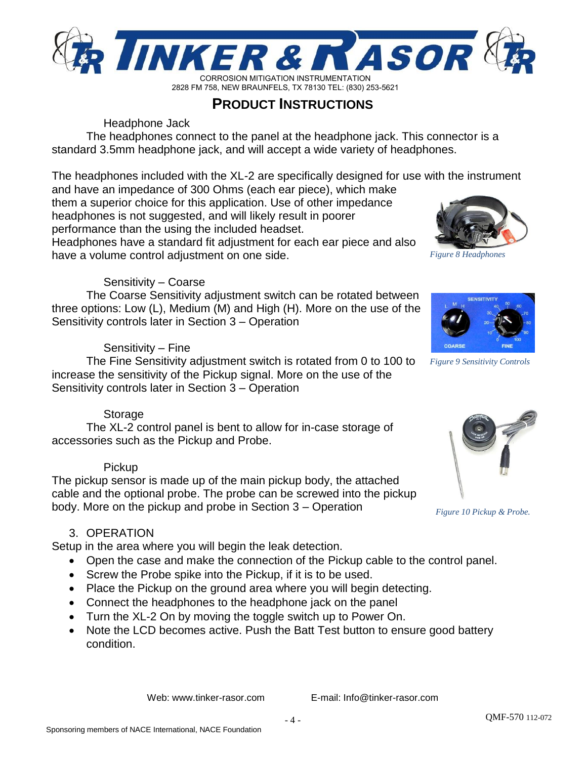

**PRODUCT INSTRUCTIONS**

Headphone Jack

The headphones connect to the panel at the headphone jack. This connector is a standard 3.5mm headphone jack, and will accept a wide variety of headphones.

The headphones included with the XL-2 are specifically designed for use with the instrument and have an impedance of 300 Ohms (each ear piece), which make

them a superior choice for this application. Use of other impedance headphones is not suggested, and will likely result in poorer performance than the using the included headset.

Headphones have a standard fit adjustment for each ear piece and also have a volume control adjustment on one side.

#### Sensitivity – Coarse

The Coarse Sensitivity adjustment switch can be rotated between three options: Low (L), Medium (M) and High (H). More on the use of the Sensitivity controls later in Section 3 – Operation

#### Sensitivity – Fine

The Fine Sensitivity adjustment switch is rotated from 0 to 100 to increase the sensitivity of the Pickup signal. More on the use of the Sensitivity controls later in Section 3 – Operation

## Storage

The XL-2 control panel is bent to allow for in-case storage of accessories such as the Pickup and Probe.

#### Pickup

The pickup sensor is made up of the main pickup body, the attached cable and the optional probe. The probe can be screwed into the pickup body. More on the pickup and probe in Section 3 – Operation

## 3. OPERATION

Setup in the area where you will begin the leak detection.

- Open the case and make the connection of the Pickup cable to the control panel.
- Screw the Probe spike into the Pickup, if it is to be used.
- Place the Pickup on the ground area where you will begin detecting.
- Connect the headphones to the headphone jack on the panel
- Turn the XL-2 On by moving the toggle switch up to Power On.
- Note the LCD becomes active. Push the Batt Test button to ensure good battery condition.

Web: www.tinker-rasor.com E-mail: Info@tinker-rasor.com



*Figure 8 Headphones*



*Figure 9 Sensitivity Controls*



*Figure 10 Pickup & Probe.*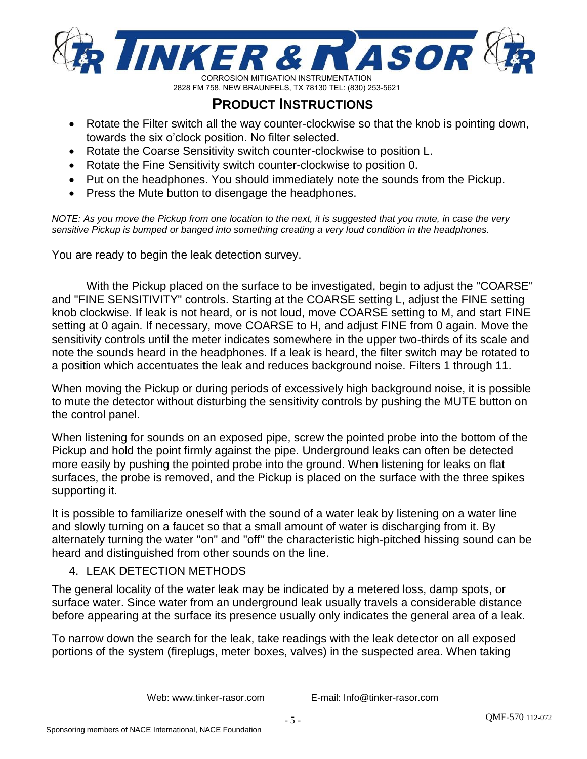

# **PRODUCT INSTRUCTIONS**

- Rotate the Filter switch all the way counter-clockwise so that the knob is pointing down, towards the six o'clock position. No filter selected.
- Rotate the Coarse Sensitivity switch counter-clockwise to position L.
- Rotate the Fine Sensitivity switch counter-clockwise to position 0.
- Put on the headphones. You should immediately note the sounds from the Pickup.
- Press the Mute button to disengage the headphones.

*NOTE: As you move the Pickup from one location to the next, it is suggested that you mute, in case the very sensitive Pickup is bumped or banged into something creating a very loud condition in the headphones.*

You are ready to begin the leak detection survey.

With the Pickup placed on the surface to be investigated, begin to adjust the "COARSE" and "FINE SENSITIVITY" controls. Starting at the COARSE setting L, adjust the FINE setting knob clockwise. If leak is not heard, or is not loud, move COARSE setting to M, and start FINE setting at 0 again. If necessary, move COARSE to H, and adjust FINE from 0 again. Move the sensitivity controls until the meter indicates somewhere in the upper two-thirds of its scale and note the sounds heard in the headphones. If a leak is heard, the filter switch may be rotated to a position which accentuates the leak and reduces background noise. Filters 1 through 11.

When moving the Pickup or during periods of excessively high background noise, it is possible to mute the detector without disturbing the sensitivity controls by pushing the MUTE button on the control panel.

When listening for sounds on an exposed pipe, screw the pointed probe into the bottom of the Pickup and hold the point firmly against the pipe. Underground leaks can often be detected more easily by pushing the pointed probe into the ground. When listening for leaks on flat surfaces, the probe is removed, and the Pickup is placed on the surface with the three spikes supporting it.

It is possible to familiarize oneself with the sound of a water leak by listening on a water line and slowly turning on a faucet so that a small amount of water is discharging from it. By alternately turning the water "on" and "off" the characteristic high-pitched hissing sound can be heard and distinguished from other sounds on the line.

## 4. LEAK DETECTION METHODS

The general locality of the water leak may be indicated by a metered loss, damp spots, or surface water. Since water from an underground leak usually travels a considerable distance before appearing at the surface its presence usually only indicates the general area of a leak.

To narrow down the search for the leak, take readings with the leak detector on all exposed portions of the system (fireplugs, meter boxes, valves) in the suspected area. When taking

Web: www.tinker-rasor.com E-mail: Info@tinker-rasor.com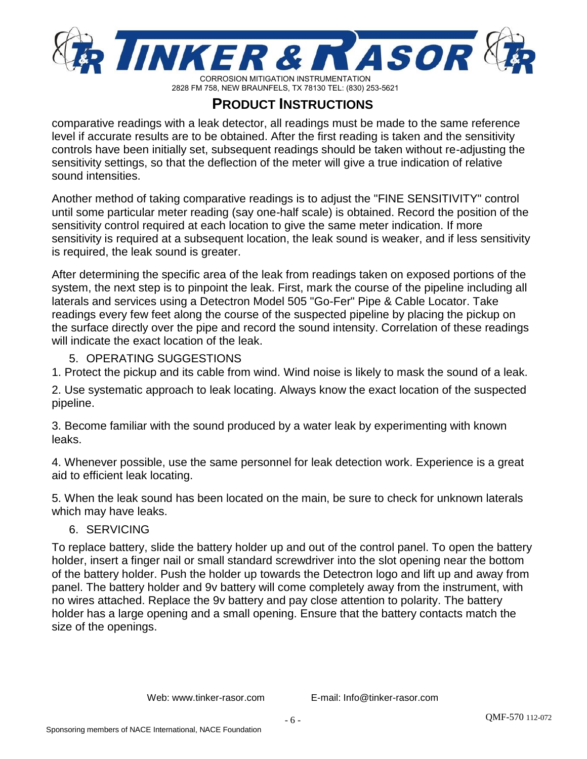

# **PRODUCT INSTRUCTIONS**

comparative readings with a leak detector, all readings must be made to the same reference level if accurate results are to be obtained. After the first reading is taken and the sensitivity controls have been initially set, subsequent readings should be taken without re-adjusting the sensitivity settings, so that the deflection of the meter will give a true indication of relative sound intensities.

Another method of taking comparative readings is to adjust the "FINE SENSITIVITY" control until some particular meter reading (say one-half scale) is obtained. Record the position of the sensitivity control required at each location to give the same meter indication. If more sensitivity is required at a subsequent location, the leak sound is weaker, and if less sensitivity is required, the leak sound is greater.

After determining the specific area of the leak from readings taken on exposed portions of the system, the next step is to pinpoint the leak. First, mark the course of the pipeline including all laterals and services using a Detectron Model 505 "Go-Fer" Pipe & Cable Locator. Take readings every few feet along the course of the suspected pipeline by placing the pickup on the surface directly over the pipe and record the sound intensity. Correlation of these readings will indicate the exact location of the leak.

## 5. OPERATING SUGGESTIONS

1. Protect the pickup and its cable from wind. Wind noise is likely to mask the sound of a leak.

2. Use systematic approach to leak locating. Always know the exact location of the suspected pipeline.

3. Become familiar with the sound produced by a water leak by experimenting with known leaks.

4. Whenever possible, use the same personnel for leak detection work. Experience is a great aid to efficient leak locating.

5. When the leak sound has been located on the main, be sure to check for unknown laterals which may have leaks.

## 6. SERVICING

To replace battery, slide the battery holder up and out of the control panel. To open the battery holder, insert a finger nail or small standard screwdriver into the slot opening near the bottom of the battery holder. Push the holder up towards the Detectron logo and lift up and away from panel. The battery holder and 9v battery will come completely away from the instrument, with no wires attached. Replace the 9v battery and pay close attention to polarity. The battery holder has a large opening and a small opening. Ensure that the battery contacts match the size of the openings.